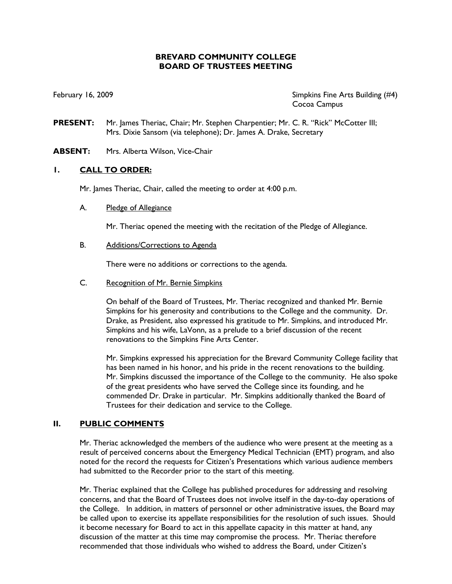## **BREVARD COMMUNITY COLLEGE BOARD OF TRUSTEES MEETING**

February 16, 2009 **Simpkins Fine Arts Building** (#4) Cocoa Campus

- **PRESENT:** Mr. James Theriac, Chair; Mr. Stephen Charpentier; Mr. C. R. "Rick" McCotter III; Mrs. Dixie Sansom (via telephone); Dr. James A. Drake, Secretary
- **ABSENT:** Mrs. Alberta Wilson, Vice-Chair

### **1. CALL TO ORDER:**

Mr. James Theriac, Chair, called the meeting to order at 4:00 p.m.

A. Pledge of Allegiance

Mr. Theriac opened the meeting with the recitation of the Pledge of Allegiance.

B. Additions/Corrections to Agenda

There were no additions or corrections to the agenda.

C. Recognition of Mr. Bernie Simpkins

On behalf of the Board of Trustees, Mr. Theriac recognized and thanked Mr. Bernie Simpkins for his generosity and contributions to the College and the community. Dr. Drake, as President, also expressed his gratitude to Mr. Simpkins, and introduced Mr. Simpkins and his wife, LaVonn, as a prelude to a brief discussion of the recent renovations to the Simpkins Fine Arts Center.

Mr. Simpkins expressed his appreciation for the Brevard Community College facility that has been named in his honor, and his pride in the recent renovations to the building. Mr. Simpkins discussed the importance of the College to the community. He also spoke of the great presidents who have served the College since its founding, and he commended Dr. Drake in particular. Mr. Simpkins additionally thanked the Board of Trustees for their dedication and service to the College.

### **II. PUBLIC COMMENTS**

Mr. Theriac acknowledged the members of the audience who were present at the meeting as a result of perceived concerns about the Emergency Medical Technician (EMT) program, and also noted for the record the requests for Citizen's Presentations which various audience members had submitted to the Recorder prior to the start of this meeting.

Mr. Theriac explained that the College has published procedures for addressing and resolving concerns, and that the Board of Trustees does not involve itself in the day-to-day operations of the College. In addition, in matters of personnel or other administrative issues, the Board may be called upon to exercise its appellate responsibilities for the resolution of such issues. Should it become necessary for Board to act in this appellate capacity in this matter at hand, any discussion of the matter at this time may compromise the process. Mr. Theriac therefore recommended that those individuals who wished to address the Board, under Citizen's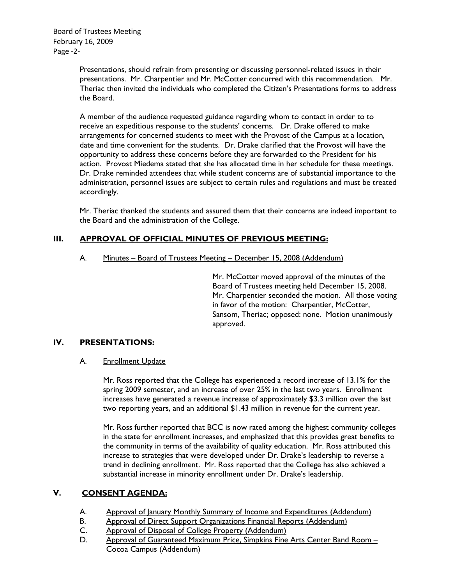Presentations, should refrain from presenting or discussing personnel-related issues in their presentations. Mr. Charpentier and Mr. McCotter concurred with this recommendation. Mr. Theriac then invited the individuals who completed the Citizen's Presentations forms to address the Board.

A member of the audience requested guidance regarding whom to contact in order to to receive an expeditious response to the students' concerns. Dr. Drake offered to make arrangements for concerned students to meet with the Provost of the Campus at a location, date and time convenient for the students. Dr. Drake clarified that the Provost will have the opportunity to address these concerns before they are forwarded to the President for his action. Provost Miedema stated that she has allocated time in her schedule for these meetings. Dr. Drake reminded attendees that while student concerns are of substantial importance to the administration, personnel issues are subject to certain rules and regulations and must be treated accordingly.

Mr. Theriac thanked the students and assured them that their concerns are indeed important to the Board and the administration of the College.

# **III. APPROVAL OF OFFICIAL MINUTES OF PREVIOUS MEETING:**

A. Minutes – Board of Trustees Meeting – December 15, 2008 (Addendum)

Mr. McCotter moved approval of the minutes of the Board of Trustees meeting held December 15, 2008. Mr. Charpentier seconded the motion. All those voting in favor of the motion: Charpentier, McCotter, Sansom, Theriac; opposed: none. Motion unanimously approved.

# **IV. PRESENTATIONS:**

#### A. Enrollment Update

Mr. Ross reported that the College has experienced a record increase of 13.1% for the spring 2009 semester, and an increase of over 25% in the last two years. Enrollment increases have generated a revenue increase of approximately \$3.3 million over the last two reporting years, and an additional \$1.43 million in revenue for the current year.

Mr. Ross further reported that BCC is now rated among the highest community colleges in the state for enrollment increases, and emphasized that this provides great benefits to the community in terms of the availability of quality education. Mr. Ross attributed this increase to strategies that were developed under Dr. Drake's leadership to reverse a trend in declining enrollment. Mr. Ross reported that the College has also achieved a substantial increase in minority enrollment under Dr. Drake's leadership.

# **V. CONSENT AGENDA:**

- A. Approval of January Monthly Summary of Income and Expenditures (Addendum)
- B. Approval of Direct Support Organizations Financial Reports (Addendum)
- C. Approval of Disposal of College Property (Addendum)
- D. Approval of Guaranteed Maximum Price, Simpkins Fine Arts Center Band Room – Cocoa Campus (Addendum)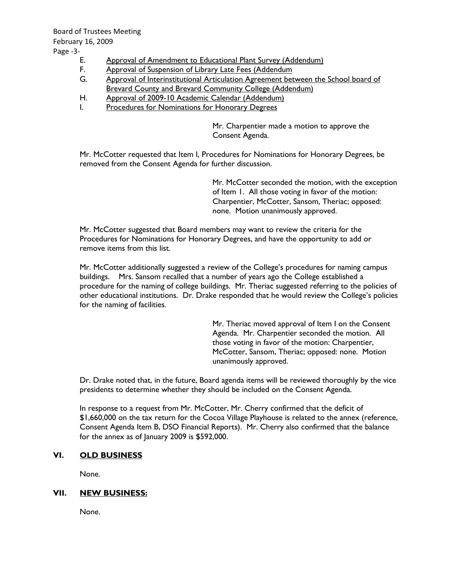Board of Trustees Meeting February 16, 2009 Page -3-

- E. Approval of Amendment to Educational Plant Survey (Addendum)
- F. Approval of Suspension of Library Late Fees (Addendum
- G. Approval of Interinstitutional Articulation Agreement between the School board of **Brevard County and Brevard Community College (Addendum)**
- H. Approval of 2009-10 Academic Calendar (Addendum)
- I. Procedures for Nominations for Honorary Degrees

Mr. Charpentier made a motion to approve the Consent Agenda.

Mr. McCotter requested that Item I, Procedures for Nominations for Honorary Degrees, be removed from the Consent Agenda for further discussion.

> Mr. McCotter seconded the motion, with the exception of Item 1. All those voting in favor of the motion: Charpentier, McCotter, Sansom, Theriac; opposed: none. Motion unanimously approved.

Mr. McCotter suggested that Board members may want to review the criteria for the Procedures for Nominations for Honorary Degrees, and have the opportunity to add or remove items from this list.

Mr. McCotter additionally suggested a review of the College's procedures for naming campus buildings. Mrs. Sansom recalled that a number of years ago the College established a procedure for the naming of college buildings. Mr. Theriac suggested referring to the policies of other educational institutions. Dr. Drake responded that he would review the College's policies for the naming of facilities.

> Mr. Theriac moved approval of Item I on the Consent Agenda. Mr. Charpentier seconded the motion. All those voting in favor of the motion: Charpentier, McCotter, Sansom, Theriac; opposed: none. Motion unanimously approved.

Dr. Drake noted that, in the future, Board agenda items will be reviewed thoroughly by the vice presidents to determine whether they should be included on the Consent Agenda.

In response to a request from Mr. McCotter, Mr. Cherry confirmed that the deficit of \$1,660,000 on the tax return for the Cocoa Village Playhouse is related to the annex (reference, Consent Agenda Item B, DSO Financial Reports). Mr. Cherry also confirmed that the balance for the annex as of January 2009 is \$592,000.

#### **VI. OLD BUSINESS**

None.

#### **VII. NEW BUSINESS:**

None.